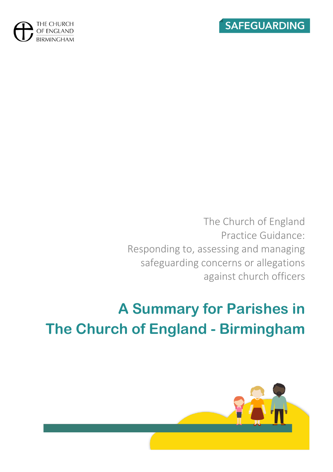



The Church of England Practice Guidance: Responding to, assessing and managing safeguarding concerns or allegations against church officers

# **A Summary for Parishes in The Church of England - Birmingham**

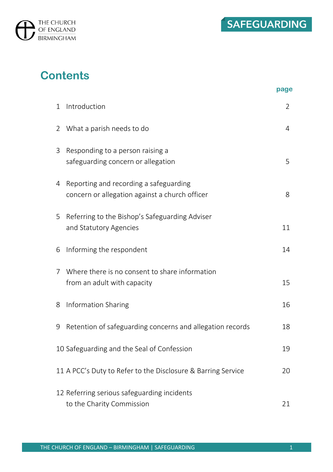

## **Contents**

|                |                                                                                          | page |
|----------------|------------------------------------------------------------------------------------------|------|
| 1              | Introduction                                                                             | 2    |
| $\overline{2}$ | What a parish needs to do                                                                | 4    |
| 3              | Responding to a person raising a<br>safeguarding concern or allegation                   | 5    |
| 4              | Reporting and recording a safeguarding<br>concern or allegation against a church officer | 8    |
| 5              | Referring to the Bishop's Safeguarding Adviser<br>and Statutory Agencies                 | 11   |
| 6              | Informing the respondent                                                                 | 14   |
| 7              | Where there is no consent to share information<br>from an adult with capacity            | 15   |
| 8              | Information Sharing                                                                      | 16   |
| 9              | Retention of safeguarding concerns and allegation records                                | 18   |
|                | 10 Safeguarding and the Seal of Confession                                               | 19   |
|                | 11 A PCC's Duty to Refer to the Disclosure & Barring Service                             | 20   |
|                | 12 Referring serious safeguarding incidents<br>to the Charity Commission                 | 21   |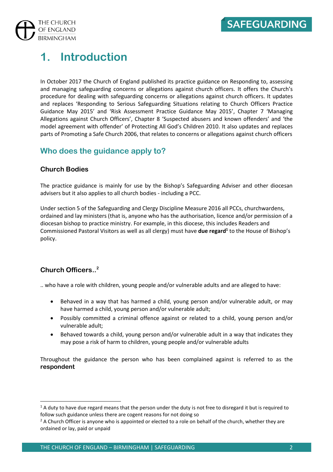

## **1. Introduction**

In October 2017 the Church of England published its practice guidance on Responding to, assessing and managing safeguarding concerns or allegations against church officers. It offers the Church's procedure for dealing with safeguarding concerns or allegations against church officers. It updates and replaces 'Responding to Serious Safeguarding Situations relating to Church Officers Practice Guidance May 2015' and 'Risk Assessment Practice Guidance May 2015', Chapter 7 'Managing Allegations against Church Officers', Chapter 8 'Suspected abusers and known offenders' and 'the model agreement with offender' of Protecting All God's Children 2010. It also updates and replaces parts of Promoting a Safe Church 2006, that relates to concerns or allegations against church officers

## **Who does the guidance apply to?**

#### **Church Bodies**

The practice guidance is mainly for use by the Bishop's Safeguarding Adviser and other diocesan advisers but it also applies to all church bodies - including a PCC.

Under section 5 of the Safeguarding and Clergy Discipline Measure 2016 all PCCs, churchwardens, ordained and lay ministers (that is, anyone who has the authorisation, licence and/or permission of a diocesan bishop to practice ministry. For example, in this diocese, this includes Readers and Commissioned Pastoral Visitors as well as all clergy) must have **due regard<sup>1</sup>** to the House of Bishop's policy.

### **Church Officers.. 2**

.. who have a role with children, young people and/or vulnerable adults and are alleged to have:

- Behaved in a way that has harmed a child, young person and/or vulnerable adult, or may have harmed a child, young person and/or vulnerable adult;
- Possibly committed a criminal offence against or related to a child, young person and/or vulnerable adult;
- Behaved towards a child, young person and/or vulnerable adult in a way that indicates they may pose a risk of harm to children, young people and/or vulnerable adults

Throughout the guidance the person who has been complained against is referred to as the **respondent**

 $1$  A duty to have due regard means that the person under the duty is not free to disregard it but is required to follow such guidance unless there are cogent reasons for not doing so

 $<sup>2</sup>$  A Church Officer is anyone who is appointed or elected to a role on behalf of the church, whether they are</sup> ordained or lay, paid or unpaid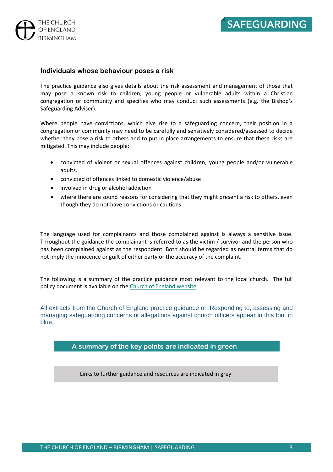

#### **Individuals whose behaviour poses a risk**

The practice guidance also gives details about the risk assessment and management of those that may pose a known risk to children, young people or vulnerable adults within a Christian congregation or community and specifies who may conduct such assessments (e.g. the Bishop's Safeguarding Adviser).

Where people have convictions, which give rise to a safeguarding concern, their position in a congregation or community may need to be carefully and sensitively considered/assessed to decide whether they pose a risk to others and to put in place arrangements to ensure that these risks are mitigated. This may include people:

- convicted of violent or sexual offences against children, young people and/or vulnerable adults.
- convicted of offences linked to domestic violence/abuse
- involved in drug or alcohol addiction
- where there are sound reasons for considering that they might present a risk to others, even though they do not have convictions or cautions

The language used for complainants and those complained against is always a sensitive issue. Throughout the guidance the complainant is referred to as the victim / survivor and the person who has been complained against as the respondent. Both should be regarded as neutral terms that do not imply the innocence or guilt of either party or the accuracy of the complaint.

The following is a summary of the practice guidance most relevant to the local church. The full policy document is available on the [Church of England website](https://www.churchofengland.org/sites/default/files/2017-11/responding-to-assessing-and-managing-concerns-or-allegations-against-church-officers.pdf)

All extracts from the Church of England practice guidance on Responding to, assessing and managing safeguarding concerns or allegations against church officers appear in this font in blue.

#### **A summary of the key points are indicated in green**

Links to further guidance and resources are indicated in grey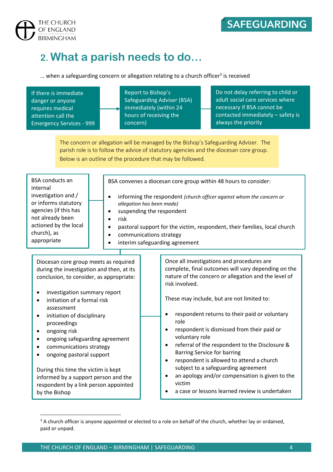

THE CHURCH OF ENGLAND **BIRMINGHAM** 

## **2. What a parish needs to do…**

 $\dots$  when a safeguarding concern or allegation relating to a church officer<sup>3</sup> is received

| If there is immediate<br>danger or anyone<br>requires medical<br>attention call the<br><b>Emergency Services - 999</b>                                                                                                                                                                                                                                                                                                                                                                                                                    | Report to Bishop's<br><b>Safeguarding Adviser (BSA)</b><br>immediately (within 24<br>hours of receiving the<br>concern)                                                                        | Do not delay referring to child or<br>adult social care services where<br>necessary if BSA cannot be<br>contacted immediately - safety is<br>always the priority                                                                                                                                                                                                                                                                                                                                                                                                                                        |  |  |
|-------------------------------------------------------------------------------------------------------------------------------------------------------------------------------------------------------------------------------------------------------------------------------------------------------------------------------------------------------------------------------------------------------------------------------------------------------------------------------------------------------------------------------------------|------------------------------------------------------------------------------------------------------------------------------------------------------------------------------------------------|---------------------------------------------------------------------------------------------------------------------------------------------------------------------------------------------------------------------------------------------------------------------------------------------------------------------------------------------------------------------------------------------------------------------------------------------------------------------------------------------------------------------------------------------------------------------------------------------------------|--|--|
| The concern or allegation will be managed by the Bishop's Safeguarding Adviser. The<br>parish role is to follow the advice of statutory agencies and the diocesan core group.<br>Below is an outline of the procedure that may be followed.                                                                                                                                                                                                                                                                                               |                                                                                                                                                                                                |                                                                                                                                                                                                                                                                                                                                                                                                                                                                                                                                                                                                         |  |  |
| <b>BSA</b> conducts an<br>internal<br>investigation and /<br>$\bullet$<br>or informs statutory<br>agencies (if this has<br>not already been<br>$\bullet$<br>actioned by the local<br>$\bullet$<br>church), as<br>$\bullet$<br>appropriate                                                                                                                                                                                                                                                                                                 | BSA convenes a diocesan core group within 48 hours to consider:<br>allegation has been made)<br>suspending the respondent<br>risk<br>communications strategy<br>interim safeguarding agreement | informing the respondent (church officer against whom the concern or<br>pastoral support for the victim, respondent, their families, local church                                                                                                                                                                                                                                                                                                                                                                                                                                                       |  |  |
| Diocesan core group meets as required<br>during the investigation and then, at its<br>conclusion, to consider, as appropriate:<br>investigation summary report<br>٠<br>initiation of a formal risk<br>$\bullet$<br>assessment<br>initiation of disciplinary<br>$\bullet$<br>proceedings<br>ongoing risk<br>ongoing safeguarding agreement<br>communications strategy<br>ongoing pastoral support<br>During this time the victim is kept<br>informed by a support person and the<br>respondent by a link person appointed<br>by the Bishop | risk involved.<br>role<br>$\bullet$<br>$\bullet$<br>$\bullet$<br>victim                                                                                                                        | Once all investigations and procedures are<br>complete, final outcomes will vary depending on the<br>nature of the concern or allegation and the level of<br>These may include, but are not limited to:<br>respondent returns to their paid or voluntary<br>respondent is dismissed from their paid or<br>voluntary role<br>referral of the respondent to the Disclosure &<br><b>Barring Service for barring</b><br>respondent is allowed to attend a church<br>subject to a safeguarding agreement<br>an apology and/or compensation is given to the<br>a case or lessons learned review is undertaken |  |  |

<sup>&</sup>lt;sup>3</sup> A church officer is anyone appointed or elected to a role on behalf of the church, whether lay or ordained, paid or unpaid.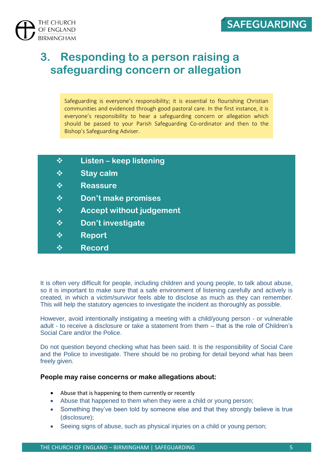

## **3. Responding to a person raising a safeguarding concern or allegation**

Safeguarding is everyone's responsibility; it is essential to flourishing Christian communities and evidenced through good pastoral care. In the first instance, it is everyone's responsibility to hear a safeguarding concern or allegation which should be passed to your Parish Safeguarding Co-ordinator and then to the Bishop's Safeguarding Adviser.

- ❖ **Listen – keep listening**
- ❖ **Stay calm**
- ❖ **Reassure**
- ❖ **Don't make promises**
- ❖ **Accept without judgement**
- ❖ **Don't investigate**
- ❖ **Report**
- ❖ **Record**

It is often very difficult for people, including children and young people, to talk about abuse, so it is important to make sure that a safe environment of listening carefully and actively is created, in which a victim/survivor feels able to disclose as much as they can remember. This will help the statutory agencies to investigate the incident as thoroughly as possible.

However, avoid intentionally instigating a meeting with a child/young person - or vulnerable adult - to receive a disclosure or take a statement from them – that is the role of Children's Social Care and/or the Police.

Do not question beyond checking what has been said. It is the responsibility of Social Care and the Police to investigate. There should be no probing for detail beyond what has been freely given.

#### **People may raise concerns or make allegations about:**

- Abuse that is happening to them currently or recently
- Abuse that happened to them when they were a child or young person;
- Something they've been told by someone else and that they strongly believe is true (disclosure);
- Seeing signs of abuse, such as physical injuries on a child or young person;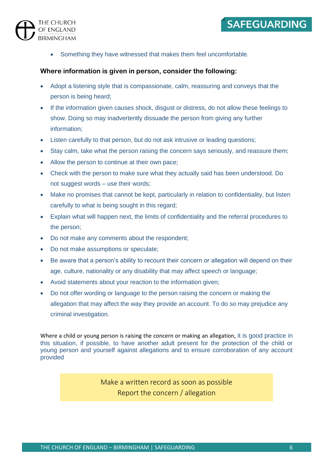

• Something they have witnessed that makes them feel uncomfortable.

#### **Where information is given in person, consider the following:**

- Adopt a listening style that is compassionate, calm, reassuring and conveys that the person is being heard;
- If the information given causes shock, disgust or distress, do not allow these feelings to show. Doing so may inadvertently dissuade the person from giving any further information;
- Listen carefully to that person, but do not ask intrusive or leading questions;
- Stay calm, take what the person raising the concern says seriously, and reassure them;
- Allow the person to continue at their own pace;
- Check with the person to make sure what they actually said has been understood. Do not suggest words – use their words;
- Make no promises that cannot be kept, particularly in relation to confidentiality, but listen carefully to what is being sought in this regard;
- Explain what will happen next, the limits of confidentiality and the referral procedures to the person;
- Do not make any comments about the respondent;
- Do not make assumptions or speculate;
- Be aware that a person's ability to recount their concern or allegation will depend on their age, culture, nationality or any disability that may affect speech or language;
- Avoid statements about your reaction to the information given;
- Do not offer wording or language to the person raising the concern or making the allegation that may affect the way they provide an account. To do so may prejudice any criminal investigation.

Where a child or young person is raising the concern or making an allegation, it is good practice in this situation, if possible, to have another adult present for the protection of the child or young person and yourself against allegations and to ensure corroboration of any account provided

> Make a written record as soon as possible Report the concern / allegation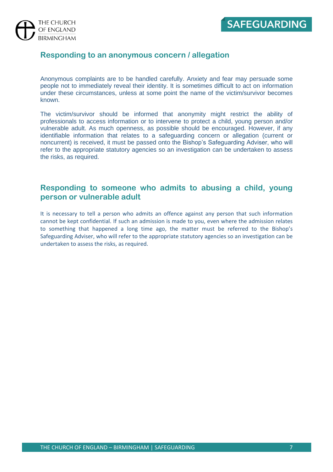

### **Responding to an anonymous concern / allegation**

Anonymous complaints are to be handled carefully. Anxiety and fear may persuade some people not to immediately reveal their identity. It is sometimes difficult to act on information under these circumstances, unless at some point the name of the victim/survivor becomes known.

The victim/survivor should be informed that anonymity might restrict the ability of professionals to access information or to intervene to protect a child, young person and/or vulnerable adult. As much openness, as possible should be encouraged. However, if any identifiable information that relates to a safeguarding concern or allegation (current or noncurrent) is received, it must be passed onto the Bishop's Safeguarding Adviser, who will refer to the appropriate statutory agencies so an investigation can be undertaken to assess the risks, as required.

### **Responding to someone who admits to abusing a child, young person or vulnerable adult**

It is necessary to tell a person who admits an offence against any person that such information cannot be kept confidential. If such an admission is made to you, even where the admission relates to something that happened a long time ago, the matter must be referred to the Bishop's Safeguarding Adviser, who will refer to the appropriate statutory agencies so an investigation can be undertaken to assess the risks, as required.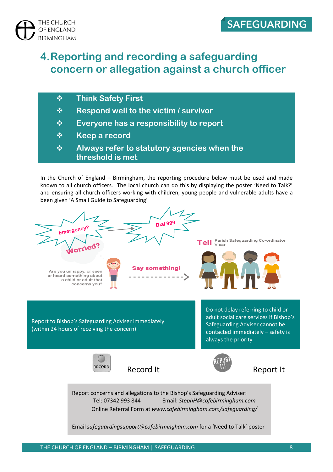

#### THE CHURCH OF ENGLAND **BIRMINGHAM**

## **4.Reporting and recording a safeguarding concern or allegation against a church officer**

- ❖ **Think Safety First**
- ❖ **Respond well to the victim / survivor**
- ❖ **Everyone has a responsibility to report**
- ❖ **Keep a record**
- ❖ **Always refer to statutory agencies when the threshold is met**

In the Church of England – Birmingham, the reporting procedure below must be used and made known to all church officers. The local church can do this by displaying the poster 'Need to Talk?' and ensuring all church officers working with children, young people and vulnerable adults have a been given 'A Small Guide to Safeguarding'

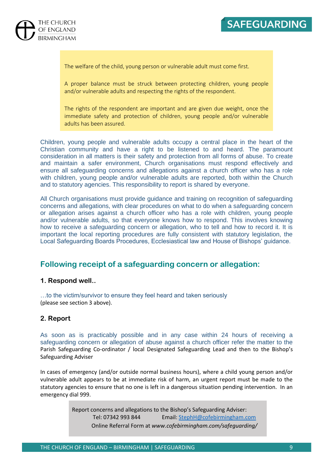

The welfare of the child, young person or vulnerable adult must come first.

A proper balance must be struck between protecting children, young people and/or vulnerable adults and respecting the rights of the respondent.

The rights of the respondent are important and are given due weight, once the immediate safety and protection of children, young people and/or vulnerable adults has been assured.

Children, young people and vulnerable adults occupy a central place in the heart of the Christian community and have a right to be listened to and heard. The paramount consideration in all matters is their safety and protection from all forms of abuse. To create and maintain a safer environment, Church organisations must respond effectively and ensure all safeguarding concerns and allegations against a church officer who has a role with children, young people and/or vulnerable adults are reported, both within the Church and to statutory agencies. This responsibility to report is shared by everyone.

All Church organisations must provide guidance and training on recognition of safeguarding concerns and allegations, with clear procedures on what to do when a safeguarding concern or allegation arises against a church officer who has a role with children, young people and/or vulnerable adults, so that everyone knows how to respond. This involves knowing how to receive a safeguarding concern or allegation, who to tell and how to record it. It is important the local reporting procedures are fully consistent with statutory legislation, the Local Safeguarding Boards Procedures, Ecclesiastical law and House of Bishops' guidance.

### **Following receipt of a safeguarding concern or allegation:**

#### **1. Respond well..**

…to the victim/survivor to ensure they feel heard and taken seriously (please see section 3 above).

#### **2. Report**

As soon as is practicably possible and in any case within 24 hours of receiving a safeguarding concern or allegation of abuse against a church officer refer the matter to the Parish Safeguarding Co-ordinator / local Designated Safeguarding Lead and then to the Bishop's Safeguarding Adviser

In cases of emergency (and/or outside normal business hours), where a child young person and/or vulnerable adult appears to be at immediate risk of harm, an urgent report must be made to the statutory agencies to ensure that no one is left in a dangerous situation pending intervention. In an emergency dial 999.

> Report concerns and allegations to the Bishop's Safeguarding Adviser: Tel: 07342 993 844 Email: [StephH@cofebirmingham.com](mailto:StephH@cofebirmingham.com) Online Referral Form at *www.cofebirmingham.com/safeguarding/*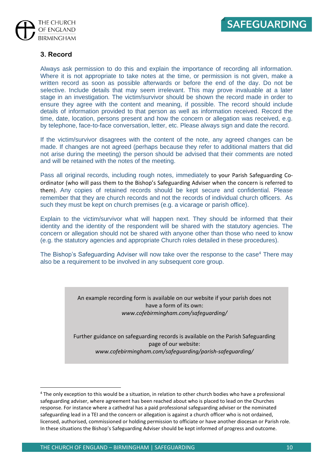

#### **3. Record**

Always ask permission to do this and explain the importance of recording all information. Where it is not appropriate to take notes at the time, or permission is not given, make a written record as soon as possible afterwards or before the end of the day. Do not be selective. Include details that may seem irrelevant. This may prove invaluable at a later stage in an investigation. The victim/survivor should be shown the record made in order to ensure they agree with the content and meaning, if possible. The record should include details of information provided to that person as well as information received. Record the time, date, location, persons present and how the concern or allegation was received, e.g. by telephone, face-to-face conversation, letter, etc. Please always sign and date the record.

If the victim/survivor disagrees with the content of the note, any agreed changes can be made. If changes are not agreed (perhaps because they refer to additional matters that did not arise during the meeting) the person should be advised that their comments are noted and will be retained with the notes of the meeting.

Pass all original records, including rough notes, immediately to your Parish Safeguarding Coordinator (who will pass them to the Bishop's Safeguarding Adviser when the concern is referred to them). Any copies of retained records should be kept secure and confidential. Please remember that they are church records and not the records of individual church officers. As such they must be kept on church premises (e.g. a vicarage or parish office).

Explain to the victim/survivor what will happen next. They should be informed that their identity and the identity of the respondent will be shared with the statutory agencies. The concern or allegation should not be shared with anyone other than those who need to know (e.g. the statutory agencies and appropriate Church roles detailed in these procedures).

The Bishop's Safeguarding Adviser will now take over the response to the case<sup>4</sup> There may also be a requirement to be involved in any subsequent core group.

> An example recording form is available on our website if your parish does not have a form of its own: *www.cofebirmingham.com/safeguarding/*

Further guidance on safeguarding records is available on the Parish Safeguarding page of our website: *www.cofebirmingham.com/safeguarding/parish-safeguarding/*

<sup>&</sup>lt;sup>4</sup> The only exception to this would be a situation, in relation to other church bodies who have a professional safeguarding adviser, where agreement has been reached about who is placed to lead on the Churches response. For instance where a cathedral has a paid professional safeguarding adviser or the nominated safeguarding lead in a TEI and the concern or allegation is against a church officer who is not ordained, licensed, authorised, commissioned or holding permission to officiate or have another diocesan or Parish role. In these situations the Bishop's Safeguarding Adviser should be kept informed of progress and outcome.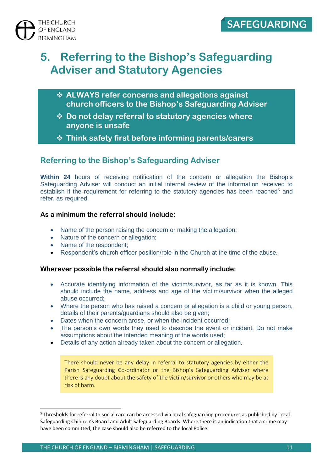

## **5. Referring to the Bishop's Safeguarding Adviser and Statutory Agencies**

- ❖ **ALWAYS refer concerns and allegations against church officers to the Bishop's Safeguarding Adviser**
- ❖ **Do not delay referral to statutory agencies where anyone is unsafe**
- ❖ **Think safety first before informing parents/carers**

## **Referring to the Bishop's Safeguarding Adviser**

**Within 24** hours of receiving notification of the concern or allegation the Bishop's Safeguarding Adviser will conduct an initial internal review of the information received to establish if the requirement for referring to the statutory agencies has been reached<sup>5</sup> and refer, as required.

#### **As a minimum the referral should include:**

- Name of the person raising the concern or making the allegation;
- Nature of the concern or allegation;
- Name of the respondent;
- Respondent's church officer position/role in the Church at the time of the abuse.

#### **Wherever possible the referral should also normally include:**

- Accurate identifying information of the victim/survivor, as far as it is known. This should include the name, address and age of the victim/survivor when the alleged abuse occurred;
- Where the person who has raised a concern or allegation is a child or young person, details of their parents/guardians should also be given;
- Dates when the concern arose, or when the incident occurred;
- The person's own words they used to describe the event or incident. Do not make assumptions about the intended meaning of the words used;
- Details of any action already taken about the concern or allegation.

There should never be any delay in referral to statutory agencies by either the Parish Safeguarding Co-ordinator or the Bishop's Safeguarding Adviser where there is any doubt about the safety of the victim/survivor or others who may be at risk of harm.

<sup>5</sup> Thresholds for referral to social care can be accessed via local safeguarding procedures as published by Local Safeguarding Children's Board and Adult Safeguarding Boards. Where there is an indication that a crime may have been committed, the case should also be referred to the local Police.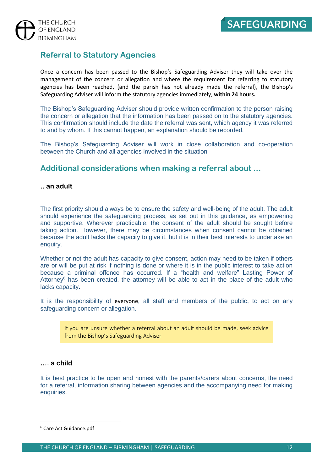

## **Referral to Statutory Agencies**

Once a concern has been passed to the Bishop's Safeguarding Adviser they will take over the management of the concern or allegation and where the requirement for referring to statutory agencies has been reached, (and the parish has not already made the referral), the Bishop's Safeguarding Adviser will inform the statutory agencies immediately, **within 24 hours.** 

The Bishop's Safeguarding Adviser should provide written confirmation to the person raising the concern or allegation that the information has been passed on to the statutory agencies. This confirmation should include the date the referral was sent, which agency it was referred to and by whom. If this cannot happen, an explanation should be recorded.

The Bishop's Safeguarding Adviser will work in close collaboration and co-operation between the Church and all agencies involved in the situation

### **Additional considerations when making a referral about …**

#### **.. an adult**

The first priority should always be to ensure the safety and well-being of the adult. The adult should experience the safeguarding process, as set out in this guidance, as empowering and supportive. Wherever practicable, the consent of the adult should be sought before taking action. However, there may be circumstances when consent cannot be obtained because the adult lacks the capacity to give it, but it is in their best interests to undertake an enquiry.

Whether or not the adult has capacity to give consent, action may need to be taken if others are or will be put at risk if nothing is done or where it is in the public interest to take action because a criminal offence has occurred. If a "health and welfare" Lasting Power of Attorney $6$  has been created, the attorney will be able to act in the place of the adult who lacks capacity.

It is the responsibility of everyone, all staff and members of the public, to act on any safeguarding concern or allegation.

If you are unsure whether a referral about an adult should be made, seek advice from the Bishop's Safeguarding Adviser

#### **…. a child**

It is best practice to be open and honest with the parents/carers about concerns, the need for a referral, information sharing between agencies and the accompanying need for making enquiries.

<sup>6</sup> Care Act Guidance.pdf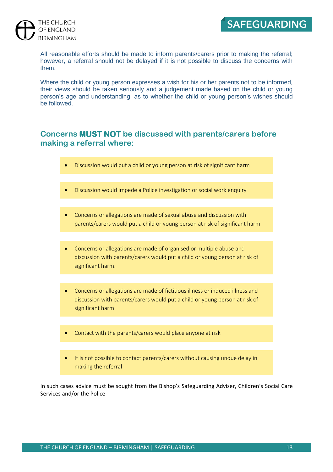

#### THE CHURCH OF ENGLAND **BIRMINGHAM**

All reasonable efforts should be made to inform parents/carers prior to making the referral; however, a referral should not be delayed if it is not possible to discuss the concerns with them.

Where the child or young person expresses a wish for his or her parents not to be informed, their views should be taken seriously and a judgement made based on the child or young person's age and understanding, as to whether the child or young person's wishes should be followed.

### **Concerns MUST NOT be discussed with parents/carers before making a referral where:**

- Discussion would put a child or young person at risk of significant harm
- Discussion would impede a Police investigation or social work enquiry
- Concerns or allegations are made of sexual abuse and discussion with parents/carers would put a child or young person at risk of significant harm
- Concerns or allegations are made of organised or multiple abuse and discussion with parents/carers would put a child or young person at risk of significant harm.
- Concerns or allegations are made of fictitious illness or induced illness and discussion with parents/carers would put a child or young person at risk of significant harm
- Contact with the parents/carers would place anyone at risk
- It is not possible to contact parents/carers without causing undue delay in making the referral

In such cases advice must be sought from the Bishop's Safeguarding Adviser, Children's Social Care Services and/or the Police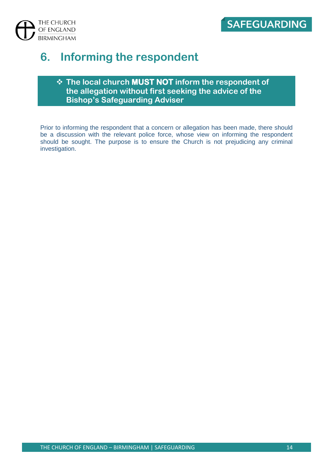

## **6. Informing the respondent**

### ❖ **The local church MUST NOT inform the respondent of the allegation without first seeking the advice of the Bishop's Safeguarding Adviser**

Prior to informing the respondent that a concern or allegation has been made, there should be a discussion with the relevant police force, whose view on informing the respondent should be sought. The purpose is to ensure the Church is not prejudicing any criminal investigation.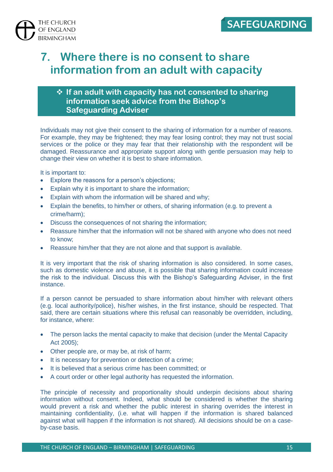

## **7. Where there is no consent to share information from an adult with capacity**

### ❖ **If an adult with capacity has not consented to sharing information seek advice from the Bishop's Safeguarding Adviser**

Individuals may not give their consent to the sharing of information for a number of reasons. For example, they may be frightened; they may fear losing control; they may not trust social services or the police or they may fear that their relationship with the respondent will be damaged. Reassurance and appropriate support along with gentle persuasion may help to change their view on whether it is best to share information.

It is important to:

- Explore the reasons for a person's objections;
- Explain why it is important to share the information;
- Explain with whom the information will be shared and why;
- Explain the benefits, to him/her or others, of sharing information (e.g. to prevent a crime/harm);
- Discuss the consequences of not sharing the information;
- Reassure him/her that the information will not be shared with anyone who does not need to know;
- Reassure him/her that they are not alone and that support is available.

It is very important that the risk of sharing information is also considered. In some cases, such as domestic violence and abuse, it is possible that sharing information could increase the risk to the individual. Discuss this with the Bishop's Safeguarding Adviser, in the first instance.

If a person cannot be persuaded to share information about him/her with relevant others (e.g. local authority/police), his/her wishes, in the first instance, should be respected. That said, there are certain situations where this refusal can reasonably be overridden, including, for instance, where:

- The person lacks the mental capacity to make that decision (under the Mental Capacity Act 2005);
- Other people are, or may be, at risk of harm;
- It is necessary for prevention or detection of a crime;
- It is believed that a serious crime has been committed; or
- A court order or other legal authority has requested the information.

The principle of necessity and proportionality should underpin decisions about sharing information without consent. Indeed, what should be considered is whether the sharing would prevent a risk and whether the public interest in sharing overrides the interest in maintaining confidentiality, (i.e. what will happen if the information is shared balanced against what will happen if the information is not shared). All decisions should be on a caseby-case basis.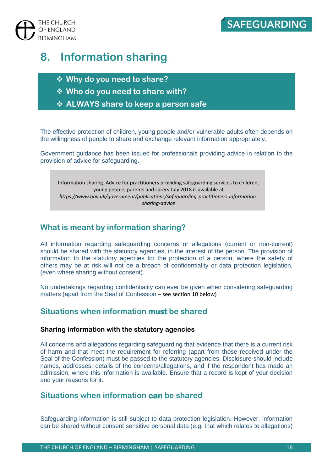

## **8. Information sharing**

- ❖ **Why do you need to share?**
- ❖ **Who do you need to share with?**
- ❖ **ALWAYS share to keep a person safe**

The effective protection of children, young people and/or vulnerable adults often depends on the willingness of people to share and exchange relevant information appropriately.

Government guidance has been issued for professionals providing advice in relation to the provision of advice for safeguarding.

Information sharing. Advice for practitioners providing safeguarding services to children, young people, parents and carers July 2018 is available at *https://www.gov.uk/government/publications/safeguarding-practitioners-informationsharing-advice*

### **What is meant by information sharing?**

All information regarding safeguarding concerns or allegations (current or non-current) should be shared with the statutory agencies, in the interest of the person. The provision of information to the statutory agencies for the protection of a person, where the safety of others may be at risk will not be a breach of confidentiality or data protection legislation, (even where sharing without consent).

No undertakings regarding confidentiality can ever be given when considering safeguarding matters (apart from the Seal of Confession – see section 10 below)

### **Situations when information must be shared**

#### **Sharing information with the statutory agencies**

All concerns and allegations regarding safeguarding that evidence that there is a current risk of harm and that meet the requirement for referring (apart from those received under the Seal of the Confession) must be passed to the statutory agencies. Disclosure should include names, addresses, details of the concerns/allegations, and if the respondent has made an admission, where this information is available. Ensure that a record is kept of your decision and your reasons for it.

### **Situations when information can be shared**

Safeguarding information is still subject to data protection legislation. However, information can be shared without consent sensitive personal data (e.g. that which relates to allegations)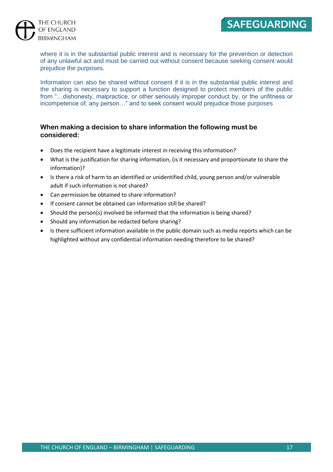## **SAFEGUARDING**

#### THE CHURCH OF ENGLAND **BIRMINGHAM**

where it is in the substantial public interest and is necessary for the prevention or detection of any unlawful act and must be carried out without consent because seeking consent would prejudice the purposes.

Information can also be shared without consent if it is in the substantial public interest and the sharing is necessary to support a function designed to protect members of the public from "…dishonesty, malpractice, or other seriously improper conduct by, or the unfitness or incompetence of, any person…" and to seek consent would prejudice those purposes

#### **When making a decision to share information the following must be considered:**

- Does the recipient have a legitimate interest in receiving this information?
- What is the justification for sharing information, (is it necessary and proportionate to share the information)?
- Is there a risk of harm to an identified or unidentified child, young person and/or vulnerable adult if such information is not shared?
- Can permission be obtained to share information?
- If consent cannot be obtained can information still be shared?
- Should the person(s) involved be informed that the information is being shared?
- Should any information be redacted before sharing?
- Is there sufficient information available in the public domain such as media reports which can be highlighted without any confidential information needing therefore to be shared?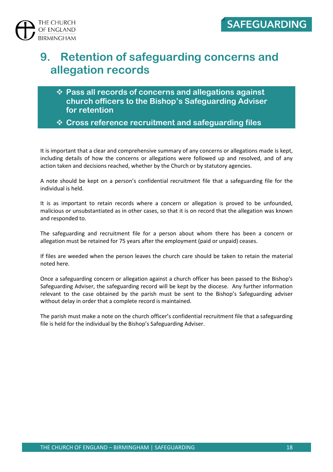

## **9. Retention of safeguarding concerns and allegation records**

- ❖ **Pass all records of concerns and allegations against church officers to the Bishop's Safeguarding Adviser for retention**
- ❖ **Cross reference recruitment and safeguarding files**

It is important that a clear and comprehensive summary of any concerns or allegations made is kept, including details of how the concerns or allegations were followed up and resolved, and of any action taken and decisions reached, whether by the Church or by statutory agencies.

A note should be kept on a person's confidential recruitment file that a safeguarding file for the individual is held.

It is as important to retain records where a concern or allegation is proved to be unfounded, malicious or unsubstantiated as in other cases, so that it is on record that the allegation was known and responded to.

The safeguarding and recruitment file for a person about whom there has been a concern or allegation must be retained for 75 years after the employment (paid or unpaid) ceases.

If files are weeded when the person leaves the church care should be taken to retain the material noted here.

Once a safeguarding concern or allegation against a church officer has been passed to the Bishop's Safeguarding Adviser, the safeguarding record will be kept by the diocese. Any further information relevant to the case obtained by the parish must be sent to the Bishop's Safeguarding adviser without delay in order that a complete record is maintained.

The parish must make a note on the church officer's confidential recruitment file that a safeguarding file is held for the individual by the Bishop's Safeguarding Adviser.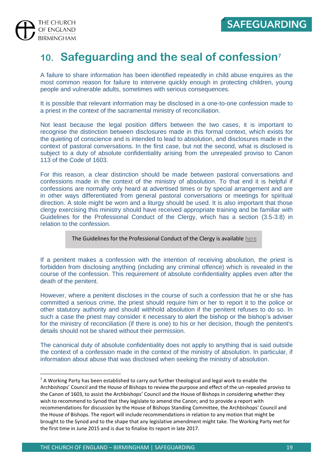

## **10. Safeguarding and the seal of confession<sup>7</sup>**

A failure to share information has been identified repeatedly in child abuse enquires as the most common reason for failure to intervene quickly enough in protecting children, young people and vulnerable adults, sometimes with serious consequences.

It is possible that relevant information may be disclosed in a one-to-one confession made to a priest in the context of the sacramental ministry of reconciliation.

Not least because the legal position differs between the two cases, it is important to recognise the distinction between disclosures made in this formal context, which exists for the quieting of conscience and is intended to lead to absolution, and disclosures made in the context of pastoral conversations. In the first case, but not the second, what is disclosed is subject to a duty of absolute confidentiality arising from the unrepealed proviso to Canon 113 of the Code of 1603.

For this reason, a clear distinction should be made between pastoral conversations and confessions made in the context of the ministry of absolution. To that end it is helpful if confessions are normally only heard at advertised times or by special arrangement and are in other ways differentiated from general pastoral conversations or meetings for spiritual direction. A stole might be worn and a liturgy should be used. It is also important that those clergy exercising this ministry should have received appropriate training and be familiar with Guidelines for the Professional Conduct of the Clergy, which has a section (3.5-3.8) in relation to the confession.

The Guidelines for the Professional Conduct of the Clergy is available [here](https://www.churchofengland.org/about-us/structure/general-synod/about-generalsynod/convocations/guidelines-for-the-professional-conduct-of-the-clergy/guidelines.aspx.)

If a penitent makes a confession with the intention of receiving absolution, the priest is forbidden from disclosing anything (including any criminal offence) which is revealed in the course of the confession. This requirement of absolute confidentiality applies even after the death of the penitent.

However, where a penitent discloses in the course of such a confession that he or she has committed a serious crime, the priest should require him or her to report it to the police or other statutory authority and should withhold absolution if the penitent refuses to do so. In such a case the priest may consider it necessary to alert the bishop or the bishop's adviser for the ministry of reconciliation (if there is one) to his or her decision, though the penitent's details should not be shared without their permission.

The canonical duty of absolute confidentiality does not apply to anything that is said outside the context of a confession made in the context of the ministry of absolution. In particular, if information about abuse that was disclosed when seeking the ministry of absolution.

<sup>&</sup>lt;sup>7</sup> A Working Party has been established to carry out further theological and legal work to enable the Archbishops' Council and the House of Bishops to review the purpose and effect of the un-repealed proviso to the Canon of 1603, to assist the Archbishops' Council and the House of Bishops in considering whether they wish to recommend to Synod that they legislate to amend the Canon; and to provide a report with recommendations for discussion by the House of Bishops Standing Committee, the Archbishops' Council and the House of Bishops. The report will include recommendations in relation to any motion that might be brought to the Synod and to the shape that any legislative amendment might take. The Working Party met for the first time in June 2015 and is due to finalise its report in late 2017.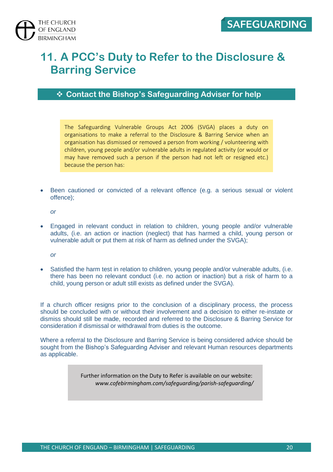## **11. A PCC's Duty to Refer to the Disclosure & Barring Service**

❖ **Contact the Bishop's Safeguarding Adviser for help**

The Safeguarding Vulnerable Groups Act 2006 (SVGA) places a duty on organisations to make a referral to the Disclosure & Barring Service when an organisation has dismissed or removed a person from working / volunteering with children, young people and/or vulnerable adults in regulated activity (or would or may have removed such a person if the person had not left or resigned etc.) because the person has:

• Been cautioned or convicted of a relevant offence (e.g. a serious sexual or violent offence);

*or* 

• Engaged in relevant conduct in relation to children, young people and/or vulnerable adults, (i.e. an action or inaction (neglect) that has harmed a child, young person or vulnerable adult or put them at risk of harm as defined under the SVGA);

*or* 

• Satisfied the harm test in relation to children, young people and/or vulnerable adults, (i.e. there has been no relevant conduct (i.e. no action or inaction) but a risk of harm to a child, young person or adult still exists as defined under the SVGA).

If a church officer resigns prior to the conclusion of a disciplinary process, the process should be concluded with or without their involvement and a decision to either re-instate or dismiss should still be made, recorded and referred to the Disclosure & Barring Service for consideration if dismissal or withdrawal from duties is the outcome.

Where a referral to the Disclosure and Barring Service is being considered advice should be sought from the Bishop's Safeguarding Adviser and relevant Human resources departments as applicable.

> Further information on the Duty to Refer is available on our website: *www.cofebirmingham.com/safeguarding/parish-safeguarding/*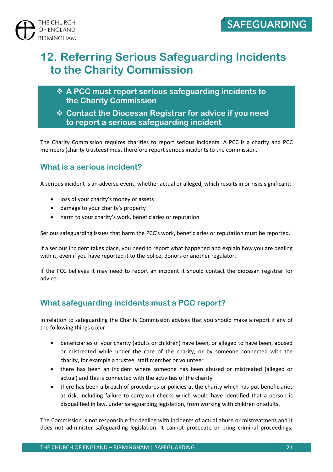

## **12. Referring Serious Safeguarding Incidents to the Charity Commission**

- ❖ **A PCC must report serious safeguarding incidents to the Charity Commission**
- ❖ **Contact the Diocesan Registrar for advice if you need to report a serious safeguarding incident**

The Charity Commission requires charities to report serious incidents. A PCC is a charity and PCC members (charity trustees) must therefore report serious incidents to the commission.

## **What is a serious incident?**

A serious incident is an adverse event, whether actual or alleged, which results in or risks significant:

- loss of your charity's money or assets
- damage to your charity's property
- harm to your charity's work, beneficiaries or reputation

Serious safeguarding issues that harm the PCC's work, beneficiaries or reputation must be reported.

If a serious incident takes place, you need to report what happened and explain how you are dealing with it, even if you have reported it to the police, donors or another regulator.

If the PCC believes it may need to report an incident it should contact the diocesan registrar for advice.

### **What safeguarding incidents must a PCC report?**

In relation to safeguarding the Charity Commission advises that you should make a report if any of the following things occur:

- beneficiaries of your charity (adults or children) have been, or alleged to have been, abused or mistreated while under the care of the charity, or by someone connected with the charity, for example a trustee, staff member or volunteer
- there has been an incident where someone has been abused or mistreated (alleged or actual) and this is connected with the activities of the charity
- there has been a breach of procedures or policies at the charity which has put beneficiaries at risk, including failure to carry out checks which would have identified that a person is disqualified in law, under safeguarding legislation, from working with children or adults.

The Commission is not responsible for dealing with incidents of actual abuse or mistreatment and it does not administer safeguarding legislation. It cannot prosecute or bring criminal proceedings,